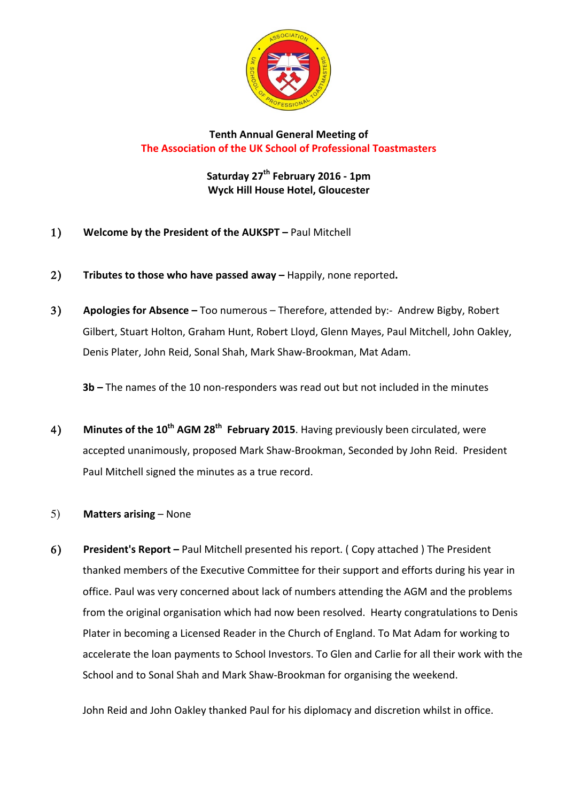

## **Tenth Annual General Meeting of The Association of the UK School of Professional Toastmasters**

**Saturday 27th February 2016 - 1pm Wyck Hill House Hotel, Gloucester**

- 1) Welcome by the President of the AUKSPT Paul Mitchell
- 2) **Tributes to those who have passed away** Happily, none reported.
- 3) Apologies for Absence Too numerous Therefore, attended by:- Andrew Bigby, Robert Gilbert, Stuart Holton, Graham Hunt, Robert Lloyd, Glenn Mayes, Paul Mitchell, John Oakley, Denis Plater, John Reid, Sonal Shah, Mark Shaw-Brookman, Mat Adam.

**3b** – The names of the 10 non-responders was read out but not included in the minutes

4) **Minutes of the 10<sup>th</sup> AGM 28<sup>th</sup> February 2015**. Having previously been circulated, were accepted unanimously, proposed Mark Shaw-Brookman, Seconded by John Reid. President Paul Mitchell signed the minutes as a true record.

## 5) **Matters arising** – None

6) President's Report – Paul Mitchell presented his report. ( Copy attached ) The President thanked members of the Executive Committee for their support and efforts during his year in office. Paul was very concerned about lack of numbers attending the AGM and the problems from the original organisation which had now been resolved. Hearty congratulations to Denis Plater in becoming a Licensed Reader in the Church of England. To Mat Adam for working to accelerate the loan payments to School Investors. To Glen and Carlie for all their work with the School and to Sonal Shah and Mark Shaw-Brookman for organising the weekend.

John Reid and John Oakley thanked Paul for his diplomacy and discretion whilst in office.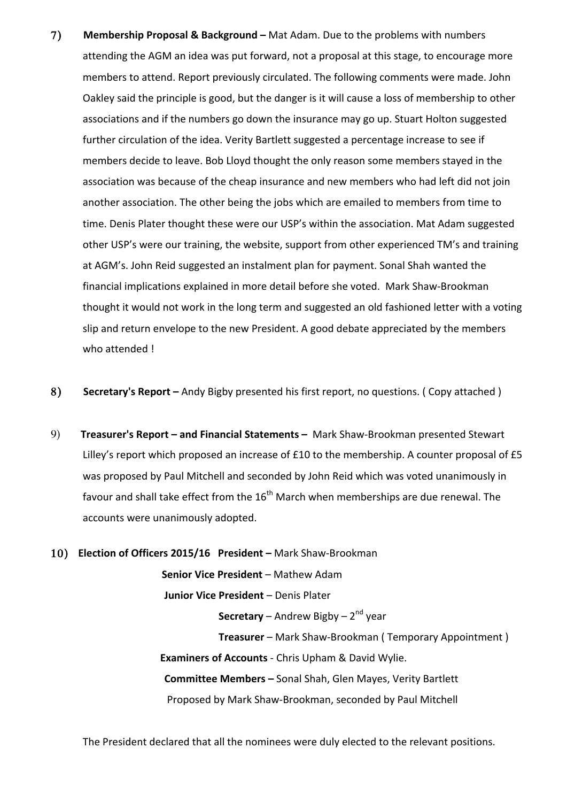- 7) Membership Proposal & Background Mat Adam. Due to the problems with numbers attending the AGM an idea was put forward, not a proposal at this stage, to encourage more members to attend. Report previously circulated. The following comments were made. John Oakley said the principle is good, but the danger is it will cause a loss of membership to other associations and if the numbers go down the insurance may go up. Stuart Holton suggested further circulation of the idea. Verity Bartlett suggested a percentage increase to see if members decide to leave. Bob Lloyd thought the only reason some members stayed in the association was because of the cheap insurance and new members who had left did not join another association. The other being the jobs which are emailed to members from time to time. Denis Plater thought these were our USP's within the association. Mat Adam suggested other USP's were our training, the website, support from other experienced TM's and training at AGM's. John Reid suggested an instalment plan for payment. Sonal Shah wanted the financial implications explained in more detail before she voted. Mark Shaw-Brookman thought it would not work in the long term and suggested an old fashioned letter with a voting slip and return envelope to the new President. A good debate appreciated by the members who attended !
- 8) **Secretary's Report** Andy Bigby presented his first report, no questions. ( Copy attached )
- 9) **Treasurer's Report and Financial Statements -** Mark Shaw-Brookman presented Stewart Lilley's report which proposed an increase of  $£10$  to the membership. A counter proposal of  $£5$ was proposed by Paul Mitchell and seconded by John Reid which was voted unanimously in favour and shall take effect from the  $16<sup>th</sup>$  March when memberships are due renewal. The accounts were unanimously adopted.
- 10) **Election of Officers 2015/16 President** Mark Shaw-Brookman **Senior Vice President** – Mathew Adam **Junior Vice President** – Denis Plater **Secretary** – Andrew Bigby – 2<sup>nd</sup> year **Treasurer** – Mark Shaw-Brookman ( Temporary Appointment ) **Examiners of Accounts** - Chris Upham & David Wylie. **Committee Members - Sonal Shah, Glen Mayes, Verity Bartlett** Proposed by Mark Shaw-Brookman, seconded by Paul Mitchell

The President declared that all the nominees were duly elected to the relevant positions.